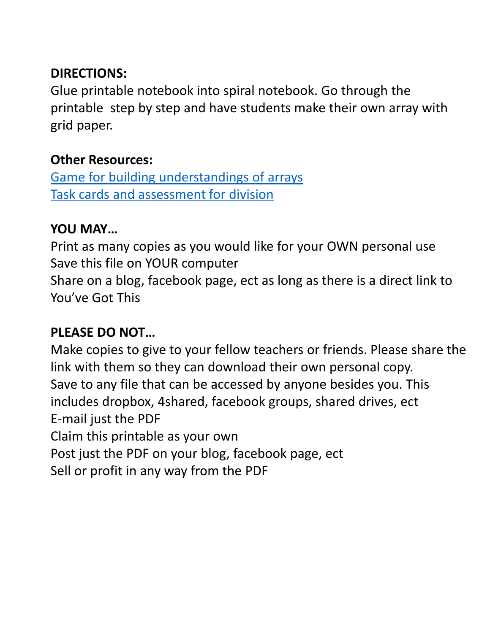## **DIRECTIONS:**

Glue printable notebook into spiral notebook. Go through the printable step by step and have students make their own array with grid paper.

## **Other Resources:**

[Game for building understandings of arrays](https://www.teacherspayteachers.com/Product/Multiplication-and-Division-Array-Game-4-NBTB5-or-5NBTB6-2637949) [Task cards and assessment for division](https://www.teacherspayteachers.com/Product/5NBT6-Division-Assessment-793957)

## **YOU MAY…**

Print as many copies as you would like for your OWN personal use Save this file on YOUR computer

Share on a blog, facebook page, ect as long as there is a direct link to You've Got This

# **PLEASE DO NOT…**

Make copies to give to your fellow teachers or friends. Please share the link with them so they can download their own personal copy. Save to any file that can be accessed by anyone besides you. This includes dropbox, 4shared, facebook groups, shared drives, ect E-mail just the PDF Claim this printable as your own

Post just the PDF on your blog, facebook page, ect

Sell or profit in any way from the PDF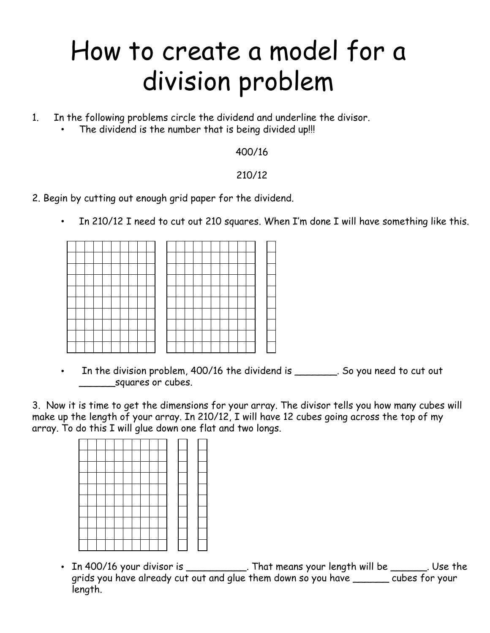# How to create a model for a division problem

- 1. In the following problems circle the dividend and underline the divisor.
	- The dividend is the number that is being divided up!!!

#### 400/16

#### 210/12

- 2. Begin by cutting out enough grid paper for the dividend.
	- In 210/12 I need to cut out 210 squares. When I'm done I will have something like this.

In the division problem, 400/16 the dividend is \_\_\_\_\_\_\_\_. So you need to cut out squares or cubes.

3. Now it is time to get the dimensions for your array. The divisor tells you how many cubes will make up the length of your array. In 210/12, I will have 12 cubes going across the top of my array. To do this I will glue down one flat and two longs.

•  $\,$  In 400/16 your divisor is \_\_\_\_\_\_\_\_\_\_\_\_. That means your length will be \_\_\_\_\_\_\_. Use the  $\,$ grids you have already cut out and glue them down so you have \_\_\_\_\_\_ cubes for your length.